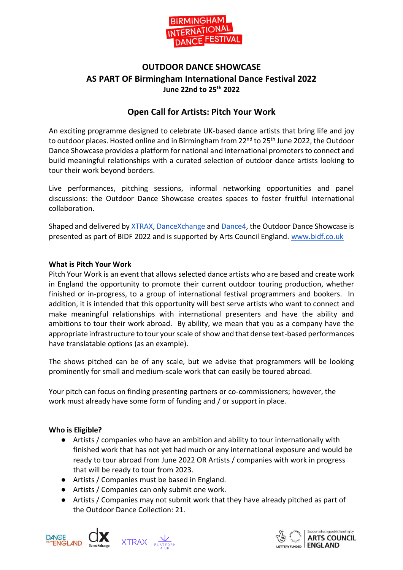

# **OUTDOOR DANCE SHOWCASE AS PART OF Birmingham International Dance Festival 2022 June 22nd to 25th 2022**

# **Open Call for Artists: Pitch Your Work**

An exciting programme designed to celebrate UK-based dance artists that bring life and joy to outdoor places. Hosted online and in Birmingham from 22<sup>nd</sup> to 25<sup>th</sup> June 2022, the Outdoor Dance Showcase provides a platform for national and international promoters to connect and build meaningful relationships with a curated selection of outdoor dance artists looking to tour their work beyond borders.

Live performances, pitching sessions, informal networking opportunities and panel discussions: the Outdoor Dance Showcase creates spaces to foster fruitful international collaboration.

Shaped and delivered by [XTRAX,](https://xtrax.org.uk/) [DanceXchange](https://dancexchange.org.uk/) an[d Dance4,](https://www.dance4.co.uk/) the Outdoor Dance Showcase is presented as part of BIDF 2022 and is supported by Arts Council England. [www.bidf.co.uk](http://www.bidf.co.uk/) 

# **What is Pitch Your Work**

Pitch Your Work is an event that allows selected dance artists who are based and create work in England the opportunity to promote their current outdoor touring production, whether finished or in-progress, to a group of international festival programmers and bookers. In addition, it is intended that this opportunity will best serve artists who want to connect and make meaningful relationships with international presenters and have the ability and ambitions to tour their work abroad. By ability, we mean that you as a company have the appropriate infrastructure to tour yourscale of show and that dense text-based performances have translatable options (as an example).

The shows pitched can be of any scale, but we advise that programmers will be looking prominently for small and medium-scale work that can easily be toured abroad.

Your pitch can focus on finding presenting partners or co-commissioners; however, the work must already have some form of funding and / or support in place.

# **Who is Eligible?**

- Artists / companies who have an ambition and ability to tour internationally with finished work that has not yet had much or any international exposure and would be ready to tour abroad from June 2022 OR Artists / companies with work in progress that will be ready to tour from 2023.
- Artists / Companies must be based in England.
- Artists / Companies can only submit one work.
- Artists / Companies may not submit work that they have already pitched as part of the Outdoor Dance Collection: 21.



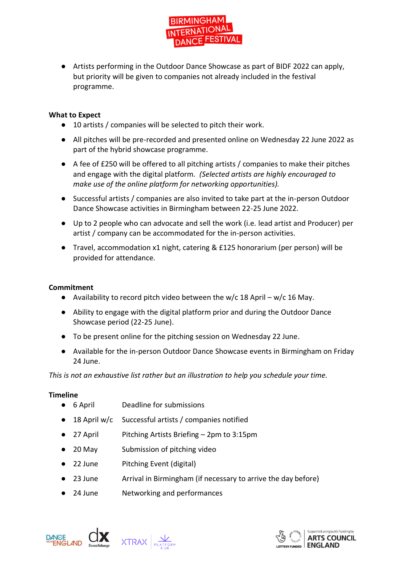

● Artists performing in the Outdoor Dance Showcase as part of BIDF 2022 can apply, but priority will be given to companies not already included in the festival programme.

# **What to Expect**

- 10 artists / companies will be selected to pitch their work.
- All pitches will be pre-recorded and presented online on Wednesday 22 June 2022 as part of the hybrid showcase programme.
- A fee of £250 will be offered to all pitching artists / companies to make their pitches and engage with the digital platform*. (Selected artists are highly encouraged to make use of the online platform for networking opportunities).*
- Successful artists / companies are also invited to take part at the in-person Outdoor Dance Showcase activities in Birmingham between 22-25 June 2022.
- Up to 2 people who can advocate and sell the work (i.e. lead artist and Producer) per artist / company can be accommodated for the in-person activities.
- Travel, accommodation x1 night, catering & £125 honorarium (per person) will be provided for attendance.

### **Commitment**

- Availability to record pitch video between the w/c 18 April w/c 16 May.
- Ability to engage with the digital platform prior and during the Outdoor Dance Showcase period (22-25 June).
- To be present online for the pitching session on Wednesday 22 June.
- Available for the in-person Outdoor Dance Showcase events in Birmingham on Friday 24 June.

*This is not an exhaustive list rather but an illustration to help you schedule your time.*

#### **Timeline**

- 6 April Deadline for submissions
- 18 April w/c Successful artists / companies notified
- 27 April Pitching Artists Briefing 2pm to 3:15pm
- 20 May Submission of pitching video
- 22 June Pitching Event (digital)
- 23 June Arrival in Birmingham (if necessary to arrive the day before)
- 24 June Networking and performances